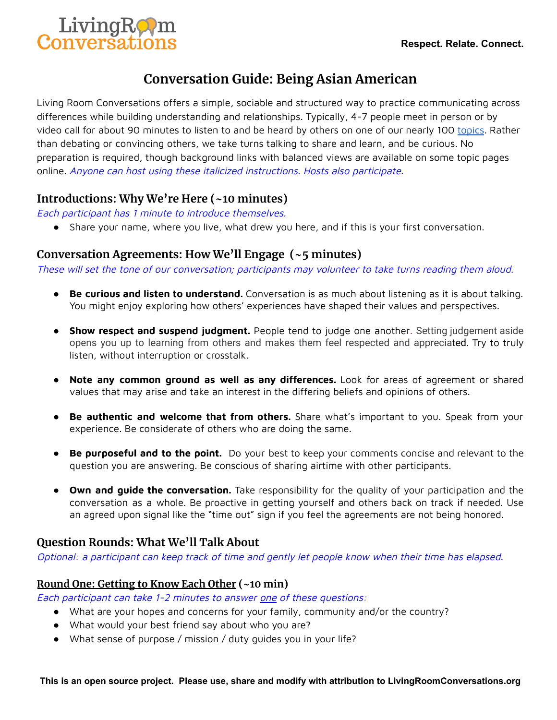

# **Conversation Guide: Being Asian American**

Living Room Conversations offers a simple, sociable and structured way to practice communicating across differences while building understanding and relationships. Typically, 4-7 people meet in person or by video call for about 90 minutes to listen to and be heard by others on one of our nearly 100 [topics](https://www.livingroomconversations.org/topics/). Rather than debating or convincing others, we take turns talking to share and learn, and be curious. No preparation is required, though background links with balanced views are available on some topic pages online. Anyone can host using these italicized instructions. Hosts also participate.

# **Introductions: Why We're Here (~10 minutes)**

Each participant has 1 minute to introduce themselves.

● Share your name, where you live, what drew you here, and if this is your first conversation.

# **Conversation Agreements: How We'll Engage (~5 minutes)**

These will set the tone of our conversation; participants may volunteer to take turns reading them aloud.

- **Be curious and listen to understand.** Conversation is as much about listening as it is about talking. You might enjoy exploring how others' experiences have shaped their values and perspectives.
- **Show respect and suspend judgment.** People tend to judge one another. Setting judgement aside opens you up to learning from others and makes them feel respected and appreciated. Try to truly listen, without interruption or crosstalk.
- **Note any common ground as well as any differences.** Look for areas of agreement or shared values that may arise and take an interest in the differing beliefs and opinions of others.
- **Be authentic and welcome that from others.** Share what's important to you. Speak from your experience. Be considerate of others who are doing the same.
- **Be purposeful and to the point.** Do your best to keep your comments concise and relevant to the question you are answering. Be conscious of sharing airtime with other participants.
- **Own and guide the conversation.** Take responsibility for the quality of your participation and the conversation as a whole. Be proactive in getting yourself and others back on track if needed. Use an agreed upon signal like the "time out" sign if you feel the agreements are not being honored.

# **Question Rounds: What We'll Talk About**

Optional: <sup>a</sup> participant can keep track of time and gently let people know when their time has elapsed.

# **Round One: Getting to Know Each Other (~10 min)**

Each participant can take 1-2 minutes to answer one of these questions:

- What are your hopes and concerns for your family, community and/or the country?
- What would your best friend say about who you are?
- What sense of purpose / mission / duty guides you in your life?